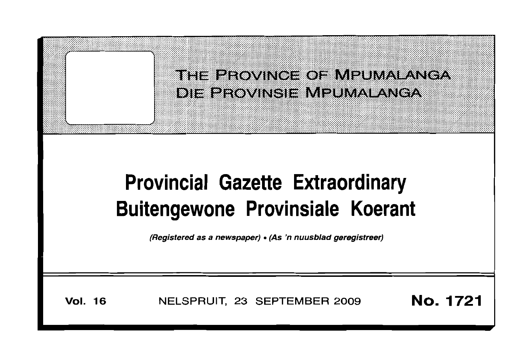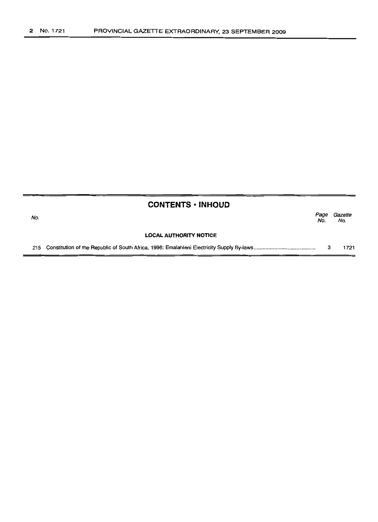|     | <b>CONTENTS • INHOUD</b>      |             |                |  |  |  |
|-----|-------------------------------|-------------|----------------|--|--|--|
| No. |                               | Page<br>No. | Gazette<br>No. |  |  |  |
|     | <b>LOCAL AUTHORITY NOTICE</b> |             |                |  |  |  |
|     |                               |             | 1721           |  |  |  |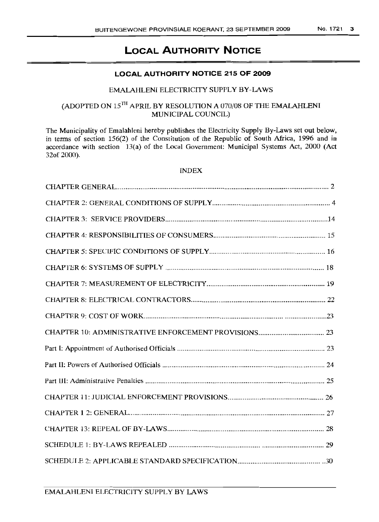# **LOCAL AUTHORITY NOTICE**

# **LOCAL AUTHORITY NOTICE 215 OF 2009**

# EMALAHLENI ELECTRICITY SUPPLY BY-LAWS

# (ADOPTED ON 15TH APRIL BY RESOLUTION A 070/08 OF THE EMALAHLENI MUNICIPAL COUNCIL)

The Municipality of Emalahleni hereby publishes the Electricity Supply By-Laws set out below, in terms of section 156(2) of the Constitution of the Republic of South Africa, 1996 and in accordance with section  $13(a)$  of the Local Government: Municipal Systems Act, 2000 (Act 320f 2000).

# INDEX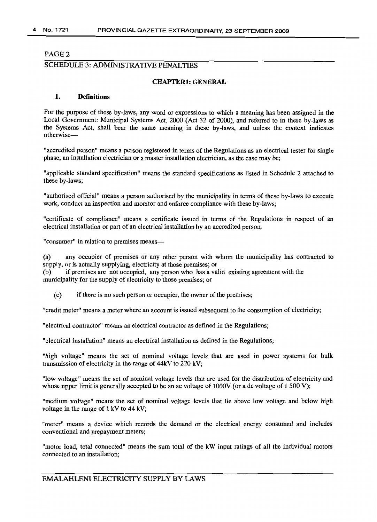# SCHEDULE 3: ADMINISTRATIVE PENALTIES

#### **CHAPTER1: GENERAL**

# 1. Definitions

For the purpose of these by-laws, any word or expressions to which a meaning has been assigned in the Local Government: Municipal Systems Act, 2000 (Act 32 of 2000), and referred to in these by-laws as the Systems Act, shall bear the same meaning in these by-laws, and unless the context indicates otherwise-

"accredited person" means a person registered in terms of the Regulations as an electrical tester for single phase, an installation electrician or a master installation electrician, as the case may be;

"applicable standard specification" means the standard specifications as listed in Schedule 2 attached to these by-laws;

"authorised official" means a person authorised by the municipality in terms of these by-laws to execute work, conduct an inspection and monitor and enforce compliance with these by-laws;

"certificate of compliance" means a certificate issued in terms of the Regulations in respect of an electrical installation or part of an electrical installation by an accredited person;

"consumer" in relation to premises means-

(a) any occupier of premises or any other person with whom the municipality has contracted to supply, or is actually supplying, electricity at those premises; or

- (b) if premises are not occupied, any person who has a valid existing agreement with the municipality for the supply of electricity to those premises; or
	- (c) if there is no such person or occupier, the owner of the premises;

"credit meter" means a meter where an account is issued subsequent to the consumption of electricity;

"electrical contractor" means an electrical contractor as defined in the Regulations;

"electrical installation" means an electrical installation as defined in the Regulations;

"high voltage" means the set of nominal voltage levels that are used in power systems for bulk transmission of electricity in the range of 44kV to 220 kV;

"low voltage" means the set of nominal voltage levels that are used for the distribution of electricity and whose upper limit is generally accepted to be an ac voltage of 1000V (or a dc voltage of 1500 V);

"medium voltage" means the set of nominal voltage levels that lie above low voltage and below high voltage in the range of 1 kV to 44 kV;

"meter" means a device which records the demand or the electrical energy consumed and includes conventional and prepayment meters;

"motor load, total connected" means the sum total of the kW input ratings of all the individual motors connected to an installation;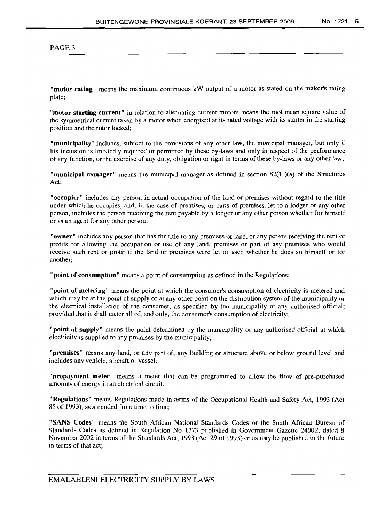"motor rating" means the maximum continuous kW output of a motor as stated on the maker's rating plate;

"motor starting current" in relation to alternating current motors means the root mean square value of the symmetrical current taken by a motor when energised at its rated voltage with its starter in the starting position and the rotor locked;

"municipality" includes, subject to the provisions of any other law, the municipal manager, but only if his inclusion is impliedly required or permitted by these by-laws and only in respect of the performance of any function, or the exercise of any duty, obligation or right in terms of these by-laws or any other law;

"municipal manager" means the municipal manager as defined in section 82(1 )(a) of the Structures Act;

"occupier" includes any person in actual occupation of the land or premises without regard to the title under which he occupies, and, in the case of premises, or parts of premises, let to a lodger or any other person, includes the person receiving the rent payable by a lodger or any other person whether for himself or as an agent for any other person;

"owner" includes any person that has the title to any premises or land, or any person receiving the rent or profits for allowing the occupation or use of any land, premises or part of any premises who would receive such rent or profit if the land or premises were let or used whether he does so himself or for another;

"point of consumption" means a point of consumption as defined in the Regulations;

"point of metering" means the point at which the consumer's consumption of electricity is metered and which may be at the point of supply or at any other point on the distribution system of the municipality or the electrical installation of the consumer, as specified by the municipality or any authorised official; provided that it shall meter all of, and only, the consumer's consumption of electricity;

"point of supply" means the point determined by the municipality or any authorised official at which electricity is supplied to any premises by the municipality;

"premises" means any land, or any part of, any building or structure above or below ground level and includes any vehicle, aircraft or vessel;

"prepayment meter" means a meter that can be programmed to allow the flow of pre-purchased amounts of energy in an electrical circuit;

"Regulations" means Regulations made in terms of the Occupational Health and Safety Act, 1993 (Act 85 of 1993), as amended from time to time;

"SANS Codes" means the South African National Standards Codes or the South African Bureau of Standards Codes as defined in Regulation No 1373 published in Government Gazette 24002, dated 8 November 2002 in terms of the Standards Act, 1993 (Act 29 of 1993) or as may be published in the future in terms of that act;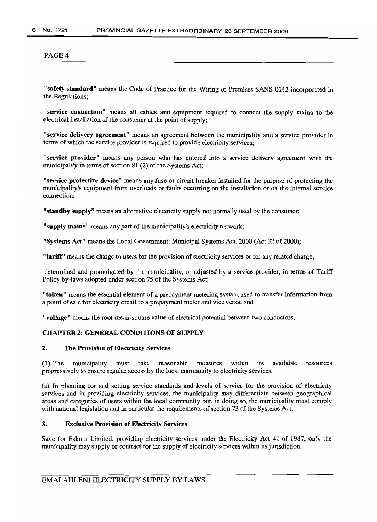"safety standard" means the Code of Practice for the Wiring of Premises SANS 0142 incorporated in the Regulations;

"service connection" means all cables and equipment required to connect the supply mains to the electrical installation of the consumer at the point of supply;

"service delivery agreement" means an agreement between the municipality and a service provider in terms of which the service provider is required to provide electricity services;

"service provider" means any person who has entered into a service delivery agreement with the municipality in terms of section 81 (2) of the Systems Act:

"service protective device" means any fuse or circuit breaker installed for the purpose of protecting the municipality's equipment from overloads or faults occurring on the installation or on the internal service connection;

"standby supply" means an alternative electricity supply not normally used by the consumer;

"supply mains" means any part of the municipality's electricity network;

"Systems Act" means the Local Government: Municipal Systems Act, 2000 (Act 32 of 2000);

"tariff" means the charge to users for the provision of electricity services or for any related charge,

determined and promulgated by the municipality, or adjusted by a service provider, in terms of Tariff Policy by-laws adopted under section 75 of the Systems Act;

"token" means the essential element of a prepayment metering system used to transfer information from a point of sale for electricity credit to a prepayment meter and vice versa; and

"voltage" means the root-mean-square value of electrical potential between two conductors,

# CHAPTER 2: GENERAL CONDITIONS OF SUPPLY

#### 2. The Provision of Electricity Services

(1) The municipality must take reasonable measures within its available resources progressively to ensure regular access by the local community to electricity services.

(a) In planning for and setting service standards and levels of service for the provision of electricity services and in providing electricity services, the municipality may differentiate between geographical areas and categories of users within the local community but, *in* doing so, the municipality must comply with national legislation and in particular the requirements of section 73 of the Systems Act.

# 3. Exclusive Provision of Electricity Services

Save for Eskom Limited, providing electricity services under the Electricity Act 41 of 1987, only the municipality may supply or contract for the supply of electricity services within its jurisdiction.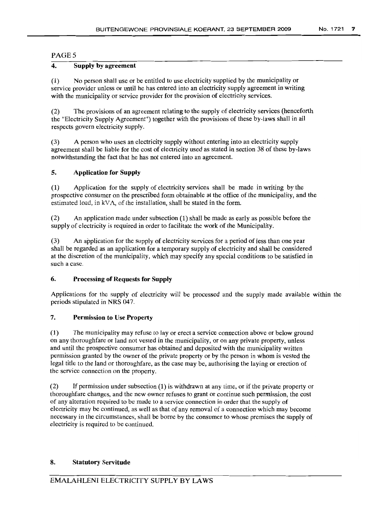# PAGE<sub>5</sub>

# 4. Supply by agreement

(1) No person shall use or be entitled to use electricity supplied by the municipality or service provider unless or until he has entered into an electricity supply agreement in writing with the municipality or service provider for the provision of electricity services.

(2) The provisions of an agreement relating to the supply of electricity services (henceforth the "Electricity Supply Agreement") together with the provisions of these by-laws shall in all respects govern electricity supply.

(3) A person who uses an electricity supply without entering into an electricity supply agreement shall be liable for the cost of electricity used as stated in section 38 of these by-laws notwithstanding the fact that he has not entered into an agreement.

### 5. Application for Supply

(1) Application for the supply of electricity services shall be made in writing by the prospective consumer on the prescribed form obtainable at the office of the municipality, and the estimated load, in kVA, of the installation, shall be stated in the form.

(2) An application made under subsection (1) shall be made as early as possible before the supply of electricity is required in order to facilitate the work of the Municipality.

(3) An application for the supply of electricity services for a period of less than one year shall be regarded as an application for a temporary supply of electricity and shall be considered at the discretion of the municipality, which may specify any special conditions to be satisfied in such a case.

# 6. Processing of Requests for Supply

Applications for the supply of electricity will be processed and the supply made available within the periods stipulated in NRS 047.

# 7. Permission to Use Property

(1) The municipality may refuse to lay or erect a service connection above or below ground on any thoroughfare or land not vested in the municipality, or on any private property, unless and until the prospective consumer has obtained and deposited with the municipality written permission granted by the owner of the private property or by the person in whom is vested the legal title to the land or thoroughfare, as the case may be, authorising the laying or erection of the service connection on the property.

(2) If permission under subsection (1) is withdrawn at any lime, or if the private property or thoroughfare changes, and the new owner refuses to grant or continue such permission, the cost of any alteration required to be made to a service connection in order that the supply of electricity may be continued, as well as that of any removal of a connection which may become necessary in the circumstances, shall be borne by the consumer to whose premises the supply of electricity is required to be continued.

### 8. Statutory Servitude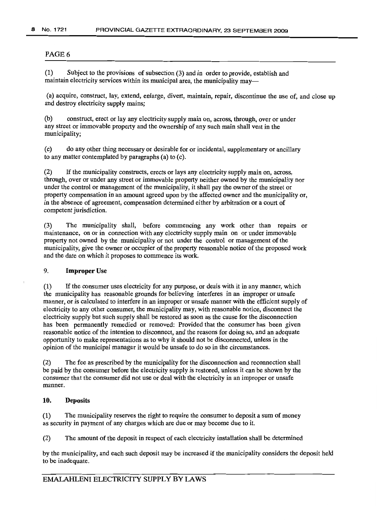(1) Subject to the provisions of subsection (3) and in order to provide, establish and maintain electricity services within its municipal area, the municipality may—

(a) acquire, construct, lay, extend, enlarge, divert, maintain, repair, discontinue the use of, and close up and destroy electricity supply mains;

(b) construct, erect or lay any electricity supply main on, across, through, over or under any street or immovable property and the ownership of any such main shall vest in the municipality;

(c) do any other thing necessary or desirable for or incidental, supplementary or ancillary to any matter contemplated by paragraphs (a) to (c).

(2) If the municipality constructs, erects or lays any electricity supply main on, across, through, over or under any street or immovable property neither owned by the municipality nor under the control or management of the municipality, it shall pay the owner of the street or property compensation in an amount agreed upon by the affected owner and the municipality or, in the absence of agreement, compensation determined either by arbitration or a court of competent jurisdiction.

(3) The municipality shall, before commencing any work other than repairs or maintenance, on or in connection with any electricity supply main on or under immovable property not owned by the municipality or not under the control or management of the municipality, give the owner or occupier of the property reasonable notice of the proposed work and the date on which it proposes to commence its work.

#### 9. **Improper** Use

(1) If the consumer uses electricity for any purpose, or deals with it in any manner, which the municipality has reasonable grounds for believing interferes in an improper or unsafe manner, or is calculated to interfere in an improper or unsafe manner with the efficient supply of electricity to any other consumer, the municipality may, with reasonable notice, disconnect the electricity supply but such supply shall be restored as soon as the cause for the disconnection has been permanently remedied or removed: Provided that the consumer has been given reasonable notice of the intention to disconnect, and the reasons for doing so, and an adequate opportunity to make representations as to why it should not be disconnected, unless in the opinion of the municipal manager it would be unsafe to do so in the circumstances.

(2) The fee as prescribed by the municipality for the disconnection and reconnection shall be paid by the consumer before the electricity supply is restored, unless it can be shown by the consumer that the consumer did not use or deal with the electricity in an improper or unsafe manner.

# 10. Deposits

(1) The municipality reserves the right to require the consumer to deposit a sum of money as security in payment of any charges which are due or may become due to it.

(2) The amount of the deposit in respect of each electricity installation shall be determined

by the municipality, and each such deposit may be increased if the municipality considers the deposit held to be inadequate.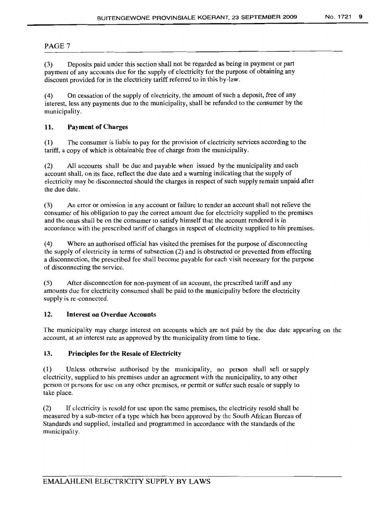(3) Deposits paid under this section shall not be regarded as being in payment or part payment of any accounts due for the supply of electricity for the purpose of obtaining any discount provided for in the electricity tariff referred to in this by-law.

(4) On cessation of the supply of electricity, the amount of such a deposit, free of any interest, less any payments due to the municipality, shall be refunded to the consumer by the municipality.

# 11. Payment of Charges

(1) The consumer is liable to pay for the provision of electricity services according to the tariff, a copy of which is obtainable free of charge from the municipality.

(2) All accounts shall be due and payable when issued by the municipality and each account shall, on its face, reflect the due date and a warning indicating that the supply of electricity may be disconnected should the charges in respect of such supply remain unpaid after the due date.

(3) An error or omission in any account or failure to render an account shall not relieve the consumer of his obligation to pay the correct amount due for electricity supplied to the premises and the onus shall be on the consumer to satisfy himself that the account rendered is in accordance with the prescribed tariff of charges in respect of electricity supplied to his premises.

(4) Where an authorised official has visited the premises for the purpose of disconnecting the supply of electricity in terms of subsection (2) and is obstructed or prevented from effecting a disconnection, the prescribed fee shall become payable for each visit necessary for the purpose of disconnecting the service.

(5) After disconnection for non-payment of an account, the prescribed tariff and any amounts due for electricity consumed shall be paid to the municipality before the electricity supply is re-connected.

# 12. Interest on Overdue Accounts

The municipality may charge interest on accounts which are not paid by the due date appearing on the account, at an interest rate as approved by the municipality from time to time.

# 13. Principles for the Resale of Electricity

(1) Unless otherwise authorised by the municipality, no person shall sell or supply electricity, supplied to his premises under an agreement with the municipality, to any other person or persons for use on any other premises, or permit or suffer such resale or supply to take place.

(2) If electricity is resold for use upon the same premises, the electricity resold shall be measured by a sub-meter of a type which has been approved by the South African Bureau of Standards and supplied, installed and programmed in accordance with the standards of the: municipality.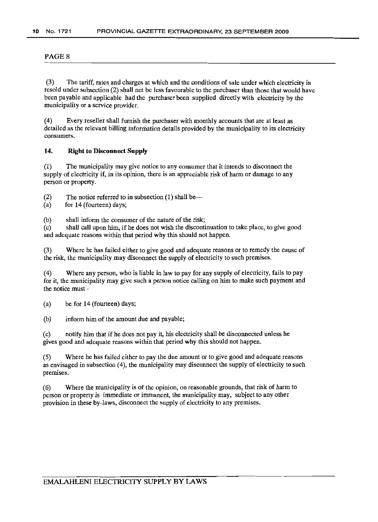(3) The tariff, rates and charges at which and the conditions of sale under which electricity is resold under subsection (2) shall not be less favourable to the purchaser than those that would have been payable and applicable had the purchaser been supplied directly with electricity by the municipality or a service provider.

(4) Every reseller shall furnish the purchaser with monthly accounts that are at least as detailed as the relevant billing information details provided by the municipality to its electricity consumers.

# 14. Right to Disconnect Supply

(1) The municipality may give notice to any consumer that it intends to disconnect the supply of electricity if, in its opinion, there is an appreciable risk of harm or damage to any person or property.

(2) The notice referred to in subsection  $(1)$  shall be-

(a) for 14 (fourteen) days;

(b) shall inform the consumer of the nature of the risk;

(c) shall call upon him, if he does not wish the discontinuation to take place, to give good and adequate reasons within that period why this should not happen.

(3) Where he has failed either to give good and adequate reasons or to remedy the cause of the risk, the municipality may disconnect the supply of electricity to such premises .

.(4) Where any person, who is liable in law to pay for any supply of electricity, fails to pay for it, the municipality may give such a person notice calling on him to make such payment and the notice must -

(a) be for 14 (fourteen) days;

(b) inform him of the amount due and payable;

(c) notify him that if he does not pay it, his electricity shall be disconnected unless he gives good and adequate reasons within that period why this should not happen.

(5) Where he has failed either to pay the due amount or to give good and adequate reasons as envisaged in subsection (4), the municipality may disconnect the supply of electricity to such premises.

(6) Where the municipality is of the opinion, on reasonable grounds, that risk of harm to person or property is immediate or immanent, the municipality may, subject to any other provision in these by-laws, disconnect the supply of electricity to any premises.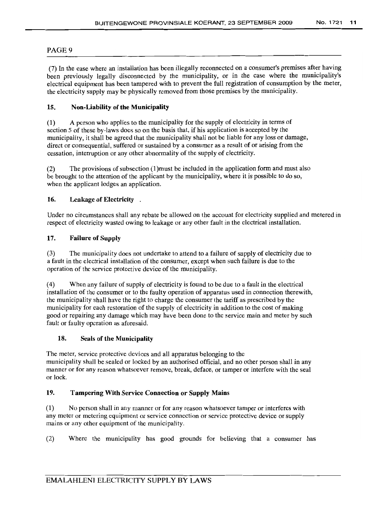(7) In the case where an installation has been illegally reconnected on a consumer's premises after having been previously legally disconnected by the municipality, or in the case where the municipality's electrical equipment has been tampered with to prevent the full registration of consumption by the meter, the electricity supply may be physically removed from those premises by the municipality.

# 15. Non-Liability of the Municipality

(1) A person who applies to the municipality for the supply of electricity in terms of section 5 of these by-laws does so on the basis that, if his application is accepted by the municipality, it shall be agreed that the municipality shall not be liable for any loss or damage, direct or consequential, suffered or sustained by a consumer as a result of or arising from the cessation, interruption or any other abnormality of the supply of electricity.

(2) The provisions of subsection (1)must be included in the application form and must also be brought to the attention of the applicant by the municipality, where it is possible to do so, when the applicant lodges an application.

# 16. Leakage of Electricity .

Under no circumstances shall any rebate be allowed on the account for electricity supplied and metered in respect of electricity wasted owing to leakage or any other fault in the electrical installation.

# 17. Failure of Supply

(3) The municipality does not undertake to attend to a failure of supply of electricity due to a fault in the electrical installation of the consumer, except when such failure is due to the operation of the service protective device of the municipality.

(4) When any failure of supply of electricity is found to be due to a fault in the electrical installation of the consumer or to the faulty operation of apparatus used in connection therewith, the municipality shall have the right to charge the consumer the tariff as prescribed by the municipality for each restoration of the supply of electricity in addition to the cost of making good or repairing any damage which may have been done to the service main and meter by such fault or faulty operation as aforesaid.

# 18. Seals of the Municipality

The meter, service protective devices and all apparatus belonging to the municipality shall be sealed or locked by an authorised official, and no other person shall in any manner or for any reason whatsoever remove, break, deface, or tamper or interfere with the seal or lock.

# 19. Tampering With Service Connection or Supply Mains

(1) No person shall in any manner or for any reason whatsoever tamper or interferes with any meter or metering equipment or service connection or service protective device or supply mains or any other equipment of the municipality.

(2) Where the municipality has good grounds for believing that a consumer has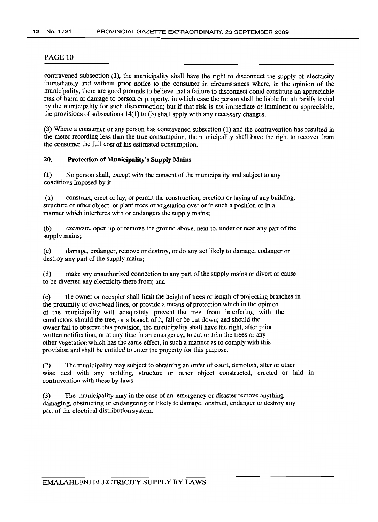contravened subsection (1), the municipality shall have the right to disconnect the supply of electricity immediately and without prior notice to the consumer in circumstances where, in the opinion of the municipality, there are good grounds to believe that a failure to disconnect could constitute an appreciable risk of harm or damage to person or property, in which case the person shall be liable for all tariffs levied by the municipality for such disconnection; but if that risk is not immediate or imminent or appreciable, the provisions of subsections 14(1) to (3) shall apply with any necessary changes.

(3) Where a consumer or any person has contravened subsection (1) and the contravention has resulted in the meter recording less than the true consumption, the municipality shall have the right to recover from the consumer the full cost of his estimated consumption.

#### 20. Protection of Municipality's Supply Mains

(1) No person shall, except with the consent of the municipality and subject to any conditions imposed by it-

(a) construct, erect or lay, or permit the construction, erection or laying of any building, structure or other object, or plant trees or vegetation over or in such a position or in a manner which interferes with or endangers the supply mains:

(b) excavate, open up or remove the ground above, next to, under or near any part of the supply mains;

(c) damage, endanger, remove or destroy, or do any act likely to damage, endanger or destroy any part of the supply mains;

(d) make any unauthorized connection to any part of the supply mains or divert or cause to be diverted any electricity there from; and

(e) the owner or occupier shall limit the height of trees or length of projecting branches in the proximity of overhead lines, or provide a means of protection which in the opinion of the municipality will adequately prevent the tree from interfering with the conductors should the tree, or a branch of it, fall or be cut down; and should the owner fail to observe this provision, the municipality shall have the right, after prior written notification, or at any time in an emergency, to cut or trim the trees or any other vegetation which has the same effect, in such a manner as to comply with this provision and shall be entitled to enter the property for this purpose.

(2) The municipality may subject to obtaining an order of court, demolish, alter or other wise deal with any building, structure or other object constructed, erected or laid in contravention with these by-laws.

(3) The municipality may in the case of an emergency or disaster remove anything damaging, obstructing or endangering or likely to damage, obstruct, endanger or destroy any part of the electrical distribution system.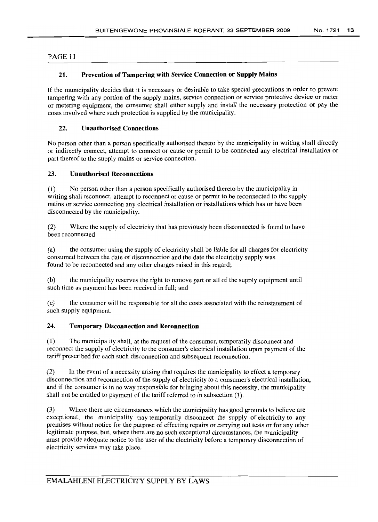# 21. Prevention of Tampering with Service Connection or Supply Mains

If the municipality decides that it is necessary or desirable to take special precautions in order to prevent tampering with any portion of the supply mains, service connection or service protective device or meter or metering equipment, the consumer shall either supply and install the necessary protection or pay the costs involved where such protection is supplied by the municipality.

#### 22. Unauthorised Connections

No person other than a person specifically authorised thereto by the municipality in writing shall directly or indirectly connect, attempt to connect or cause or permit to be connected any electrical installation or part thereof to the supply mains or service connection.

# 23. Unauthorised Reconnections

(1) No person other than a person specifically authorised thereto by the municipality in writing shall reconnect, attempt to reconnect or cause or permit to be reconnected to the supply mains or service connection any electrical installation or installations which has or have been disconnected by the municipality.

(2) Where the supply of electricity that has previously been disconnected is found to have been reconnected-

(a) the consumer using the supply of electricity shall be liable for all charges for electricity consumed between the date of disconnection and the date the electricity supply was found to be reconnected and any other charges raised in this regard;

(b) the municipality reserves the right to remove part or all of the supply equipment until such time as payment has been received in full; and

(c) the consumer will be responsible for all the costs associated with the reinstatement of such supply equipment.

#### 24. Temporary Disconnection and Reconnection

(1) The municipality shall, at the request of the consumer, temporarily disconnect and reconnect the supply of electricity to the consumer's electrical installation upon payment of the tariff prescribed for each such disconnection and subsequent reconnection.

(2) In the event of a necessity arising that requires the municipality to effect a temporary disconnection and reconnection of the supply of electricity to a consumer's electrical installation, and if the consumer is in no way responsible for bringing about this necessity, the municipality shall not be entitled to payment of the tariff referred to in subsection (1).

(3) Where there are circumstances which the municipality has good grounds to believe are exceptional, the municipality may temporarily disconnect the supply of electricity to any premises without notice for the purpose of effecting repairs or carrying out tests or for any other legitimate purpose, but, where there are no such exceptional circumstances, the municipality must provide adequate notice to the user of the electricity before a temporary disconnection of electricity services may take place.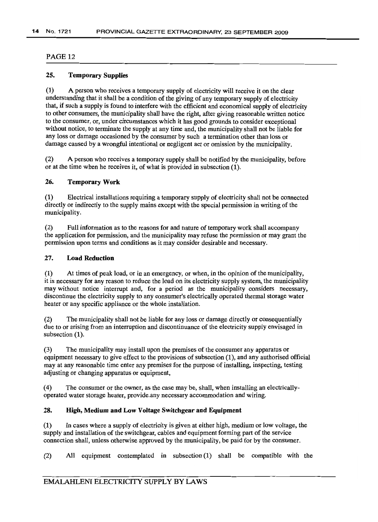### 25. Temporary Supplies

(1) A person who receives a temporary supply of electricity will receive it on the clear understanding that it shall be a condition of the giving of any temporary supply of electricity that, if such a supply is found to interfere with the efficient and economical supply of electricity to other consumers, the municipality shall have the right, after giving reasonable written notice to the consumer, or, under circumstances which it has good grounds to consider exceptional without notice, to terminate the supply at any time and, the municipality shall not be liable for any loss or damage occasioned by the consumer by such a termination other than loss or damage caused by a wrongful intentional or negligent act or omission by the municipality.

(2) A person who receives a temporary supply shall be notified by the municipality, before or at the time when he receives it, of what is provided in subsection (1).

#### 26. Temporary Work

(1) Electrical installations requiring a temporary supply of electricity shall not be connected directly or indirectly to the supply mains except with the special permission in writing of the municipality.

(2) Full information as to the reasons for and nature of temporary work shall accompany the application for permission, and the municipality may refuse the permission or may grant the permission upon terms and conditions as it may consider desirable and necessary.

#### 27. Load Reduction

(1) At times of peak load, or in an emergency, or when, in the opinion of the municipality, it is necessary for any reason to reduce the load on its electricity supply system, the municipality may without notice interrupt and, for a period as the municipality considers necessary, discontinue the electricity supply to any consumer's electrically operated thermal storage water heater or any specific appliance or the whole installation.

(2) The municipality shall not be liable for any loss or damage directly or consequentially due to or arising from an interruption and discontinuance of the electricity supply envisaged in subsection  $(1)$ .

(3) The municipality may install upon the premises of the consumer any apparatus or equipment necessary to give effect to the provisions of subsection (1), and any authorised official may at any reasonable time enter any premises for the purpose of installing, inspecting, testing adjusting or changing apparatus or equipment,

(4) The consumer or the owner, as the case may be, shall, when installing an electricallyoperated water storage heater, provide.any necessary accommodation and wiring.

# 28. High, Medium and Low Voltage Switchgear and Equipment

(1) In cases where a supply of electricity is given at either high, medium or low voltage, the supply and installation of the switchgear, cables and equipment forming part of the service connection shall, unless otherwise approved by the municipality, be paid for by the consumer.

(2) All equipment contemplated in subsection (1) shall be compatible with the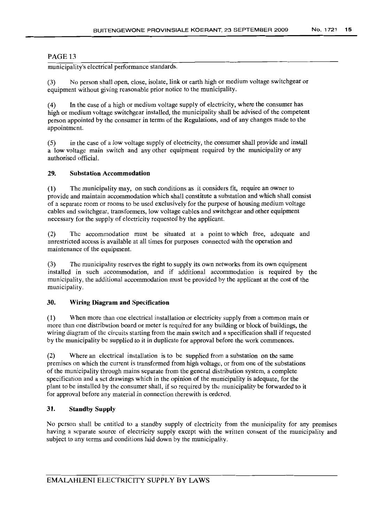municipality's electrical performance standards.

(3) No person shall open, close, isolate, link or earth high or medium voltage switchgear or equipment without giving reasonable prior notice to the municipality.

(4) In the case of a high or medium voltage supply of electricity, where the consumer has high or medium voltage switchgear installed, the municipality shall be advised of the competent person appointed by the consumer in terms of the Regulations, and of any changes made to the appointment.

(5) in the case of a low voltage supply of electricity, the consumer shall provide and install a low voltage main switch and any other equipment required by the municipality or any authorised official.

# 29. Substation Accommodation

(1) The municipality may, on such conditions as it considers fit, require an owner to provide and maintain accommodation which shall constitute a substation and which shall consist of a separate room or rooms to be used exclusively for the purpose of housing medium voltage cables and switchgear, transformers, low voltage cables and switchgear and other equipment necessary for the supply of electricity requested by the applicant.

(2) The accommodation must be situated at a point to which free, adequate and unrestricted access is available at all times for purposes connected with the operation and maintenance of the equipment.

(3) The municipality reserves the right to supply its own networks from its own equipment installed in such accommodation, and if additional accommodation is required by the municipality, the additional accommodation must be provided by the applicant at the cost of the municipality.

# 30. Wiring Diagram **and** Specification

(1) When more than one electrical installation or electricity supply from a common main or more than one distribution board or meter is required for any building or block of buildings, the wiring diagram of the circuits starting from the main switch and a specification shall if requested by the municipality be supplied to it in duplicate for approval before the work commences.

(2) Where an electrical installation is to be supplied from a substation on the same premises on which the current is transformed from high voltage, or from one of the substations of the municipality through mains separate from the general distribution system, a complete specification and a set drawings which in the opinion of the municipality is adequate, for the plant to be installed by the consumer shall, if so required by the municipality be forwarded to it for approval before any material in connection therewith is ordered.

# 31. Standby Supply

No person shall be entitled to a standby supply of electricity from the municipality for any premises having a separate source of electricity supply except with the written consent of the municipality and subject to any terms and conditions laid down by the municipality.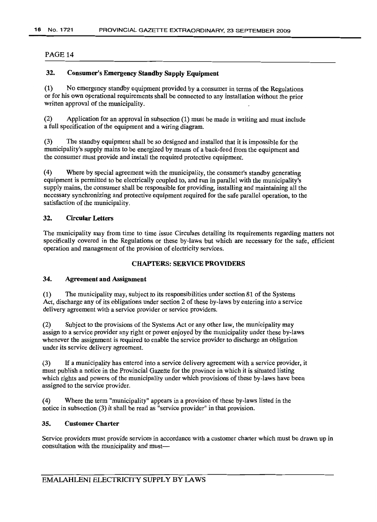# 32. Consumer's Emergency Standby Supply Equipment

(1) No emergency standby equipment provided by a consumer in terms of the Regulations or for his own operational requirements shall be connected to any installation without the prior written approval of the municipality.

(2) Application for an approval in subsection (1) must be made in writing and must include a full specification of the equipment and a wiring diagram.

(3) The standby equipment shall be so designed and installed that it is impossible for the municipality's supply mains to be energized by means of a back-feed from the equipment and the consumer must provide and install the required protective equipment.

(4) Where by special agreement with the municipality, the consumer's standby generating equipment is permitted to be electrically coupled to, and run in parallel with the municipality's supply mains, the consumer shall be responsible for providing, installing and maintaining all the necessary synchronizing and protective equipment required for the safe parallel operation, to the satisfaction of the municipality.

#### 32. Circular Letters

The municipality may from time to time issue Circulars detailing its requirements regarding matters not specifically covered in the Regulations or these by-laws but which are necessary for the safe, efficient operation and management of the provision of electricity services.

#### CHAPTERS: SERVICE PROVIDERS

#### 34. Agreement and Assignment

(1) The municipality may, subject to its responsibilities under section 81 of the Systems Act, discharge any of its obligations under section 2 of these by-laws by entering into a service delivery agreement with a service provider or service providers.

(2) Subject to the provisions of the Systems Act or any other law, the municipality may assign to a service provider any right or power enjoyed by the municipality under these by-laws whenever the assignment is required to enable the service provider to discharge an obligation under its service delivery agreement.

(3) If a municipality has entered into a service delivery agreement with a service provider, it must publish a notice in the Provincial Gazette for the province in which it is situated listing which rights and powers of the municipality under which provisions of these by-laws have been assigned to the service provider.

(4) Where the term "municipality" appears in a provision of these by-laws listed in the notice in subsection (3) it shall be read as "service provider" in that provision.

# 35. Customer Charter

Service providers must provide services in accordance with a customer charter which must be drawn up in consultation with the municipality and must-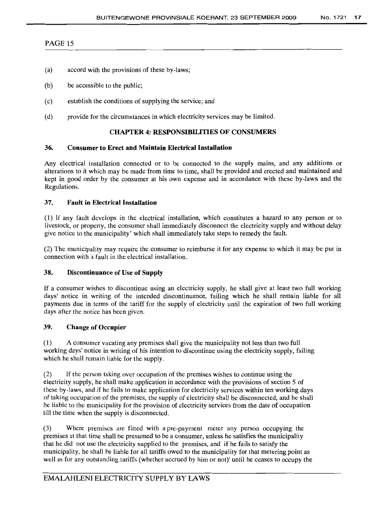- (a) accord with the provisions of these by-laws;
- (b) be accessible to the public;
- (c) establish the conditions of supplying the service; and
- (d) provide for the circumstances in which electricity services may be limited.

### CHAPTER 4: RESPONSIBILITIES OF CONSUMERS

#### 36. Consumer to Erect and Maintain Electrical Installation

Any electrical installation connected or to be connected to the supply mains, and any additions or alterations to it which may be made from time to time, shall be provided and erected and maintained and kept in good order by the consumer at his own expense and in accordance with these by-laws and the Regulations.

### 37. Fault in Electrical Installation

(1) If any fault develops in the electrical installation, which constitutes a hazard to any person or to livestock, or property, the consumer shall immediately disconnect the electricity supply and without delay give notice to the municipality' which shall immediately take steps to remedy the fault.

(2) The municipality may require the consumer to reimburse it for any expense to which it may be put in connection with a fault in the electrical installation.

# 38. Discontinuance of Use of Supply

If a consumer wishes to discontinue using an electricity supply, he shall give at least two full working days' notice in writing of the intended discontinuance, failing which he shall remain liable for all payments due in terms of the tariff for the supply of electricity until the expiration of two full working days after the notice has been given.

#### 39. Change of Occupier

(1) A consumer vacating any premises shall give the municipality not less than two full working days' notice in writing of his intention to discontinue using the electricity supply, failing which he shall remain liable for the supply.

(2) If the person taking over occupation of the premises wishes to continue using the electricity supply, he shall make application in accordance with the provisions of section 5 of these by-laws, and if he fails to make application for electricity services within ten working days of taking occupation of the premises, the supply of electricity shall be disconnected, and he shall be liable to the municipality for the provision of electricity services from the date of occupation till the time when the supply is disconnected.

(3) Where premises are fitted with a pre-payment meter any person occupying the premises at that time shall be presumed to be a consumer, unless he satisfies the municipality that he did not use the electricity supplied to the premises, and if he fails to satisfy the municipality, he shall be liable for all tariffs owed to the municipality for that metering point as well as for any outstanding tariffs (whether accrued by him or not)' until he ceases to occupy the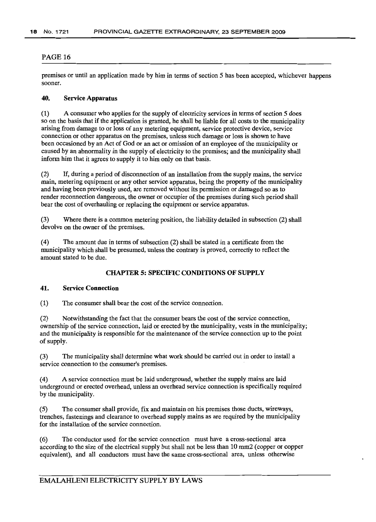premises or until an application made by him in terms of section 5 has been accepted, whichever happens sooner.

# 40. Service Apparatus

(1) A consumer who applies for the supply of electricity services in terms of section 5 does so on the basis that if the application is granted, he shall be liable for all costs to the municipality arising from damage to or loss of any metering equipment, service protective device, service connection or other apparatus on the premises, unless such damage or loss is shown to have been occasioned by an Act of God or an act or omission of an employee of the municipality or caused by an abnormality in the supply of electricity to the premises; and the municipality shall inform him that it agrees to supply it to him only on that basis.

(2) If, during a period of disconnection of an installation from the supply mains, the service main, metering equipment or any other service apparatus, being the property of the municipality and having been previously used, are removed without its permission or damaged so as to render reconnection dangerous, the owner or occupier of the premises during such period shall bear the cost of overhauling or replacing the equipment or service apparatus.

(3) Where there is a common metering position, the liability detailed in subsection (2) shall devolve on the owner of the premises.

(4) The amount due in terms of subsection (2) shall be stated in a certificate from the municipality which shall be presumed, unless the contrary is proved, correctly to reflect the amount stated to be due.

# CHAPTER 5: SPECIFIC CONDITIONS OF SUPPLY

#### 41. Service Connection

(1) The consumer shall bear the cost of the service connection.

(2) Notwithstanding the fact that the consumer bears the cost of the service connection, ownership of the service connection, laid or erected by the municipality, vests in the municipality; and the municipality is responsible for the maintenance of the service connection up to the point of supply.

(3) The municipality shall determine what work should be carried out in order to install a service connection to the consumer's premises.

(4) A service connection must be laid underground, whether the supply mains are laid underground or erected overhead, unless an overhead service connection is specifically required by the municipality.

(5) The consumer shall provide, fix and maintain on his premises those ducts, wireways, trenches, fastenings and clearance to overhead supply mains as are required by the municipality for the installation of the service connection.

(6) The conductor used for the service connection must have a cross-sectional area according to the size of the electrical supply but shall not be less than 10 mrn2 (copper or copper equivalent), and all conductors must have the same cross-sectional area, unless otherwise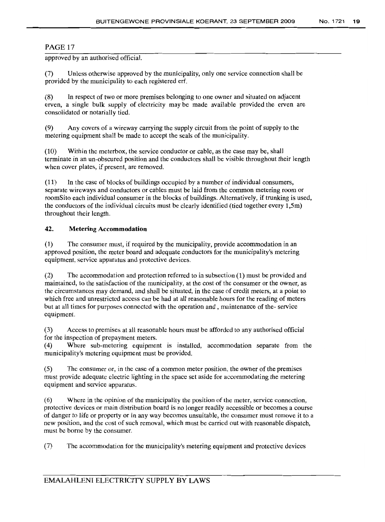approved by an authorised official.

(7) Unless otherwise approved by the municipality, only one service connection shall be provided by the municipality to each registered erf.

(8) In respect of two or more premises belonging to one owner and situated on adjacent erven, a single bulk supply of electricity may be made available provided the erven are consolidated or notarially tied.

(9) Any covers of a wireway carrying the supply circuit from the point of supply to the metering equipment shall be made to accept the seals of the municipality.

(10) Within the meterbox, the service conductor or cable, as the case may be, shall terminate in an un-obscured position and the conductors shall be visible throughout their length when cover plates, if present, are removed.

(11) In the case of blocks of buildings occupied by a number of individual consumers, separate wireways and conductors or cables must be laid from the common metering room or roomS ito each individual consumer in the blocks of buildings. Alternatively, if trunking is used, the conductors of the individual circuits must be clearly identified (tied together every 1,5m) throughout their length.

#### **42. Metering Accommodation**

(1) The consumer must, if required by the municipality, provide accommodation in an approved position, the meter board and adequate conductors for the municipality's metering equipment, service apparatus and protective devices.

(2) The accommodation and protection referred to in subsection (1) must be provided and maintained, to the satisfaction of the municipality, at the cost of the consumer or the owner, as the circumstances may demand, and shall be situated, in the case of credit meters, at a point to which free and unrestricted access can be had at all reasonable hours for the reading of meters but at all times for purposes connected with the operation and, maintenance of the- service equipment.

(3) Access to premises at all reasonable hours must be afforded to any authorised official for the inspection of prepayment meters.

(4) Where sub-metering equipment is installed, accommodation separate from the municipality's metering equipment must be provided.

(5) The consumer or, in the case of a common meter position. the owner of the premises must provide adequate electric lighting in the space set aside for accommodating the metering equipment and service apparatus.

(6) Where in the opinion of the municipality the position of the meter, service connection, protective devices or main distribution board is no longer readily accessible or becomes a course of danger to life or property or in any way becomes unsuitable, the consumer must remove it to a new position, and the cost of such removal, which must be carried out with reasonable dispatch, must be borne by the consumer.

(7) The accommodation for the municipality's metering equipment and protective devices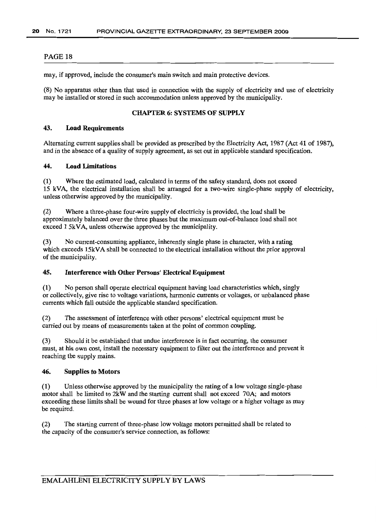may, if approved, include the consumer's main switch and main protective devices.

(8) No apparatus other than that used in connection with the supply of electricity and use of electricity may be installed or stored in such accommodation unless approved by the municipality.

# CHAPTER 6: SYSTEMS OF SUPPLY

# 43. Load Requirements

Alternating current supplies shall be provided as prescribed by the Electricity Act, 1987 (Act 41 of 1987), and in the absence of a quality of supply agreement, as set out in applicable standard specification.

#### 44. Load Limitations

(1) Where the estimated load, calculated in terms of the safety standard, does not exceed 15 kVA, the electrical installation shall be arranged for a two-wire single-phase supply of electricity, unless otherwise approved by the municipality.

(2) Where a three-phase four-wire supply of electricity is provided, the load shall be approximately balanced over the three phases but the maximum out-of-balance load shall not exceed 1 5kVA, unless otherwise approved by the municipality.

(3) No current-consuming appliance, inherently single phase in character, with a rating which exceeds 15kVA shall be connected to the electrical installation without the prior approval of the municipality.

# 45. Interference with Other Persons' Electrical Equipment

(1) No person shall operate electrical equipment having load characteristics which, singly or collectively, give rise to voltage variations, harmonic currents or voltages, or unbalanced phase currents which fall outside the applicable standard specification.

(2) The assessment of interference with other persons' electrical equipment must be carried out by means of measurements taken at the point of common coupling.

(3) Should it be established that undue interference is in fact occurring, the consumer must, at his own cost, install the necessary equipment to filter out the interference and prevent it reaching the supply mains.

#### 46. Supplies to Motors

(1) Unless otherwise approved by the municipality the rating of a low voltage single-phase motor shall be limited to 2kW and the starting current shall not exceed 70A; and motors exceeding these limits shall be wound for three phases at low voltage or a higher voltage as may be required.

(2) The starting current of three-phase low voltage motors permitted shall be related to the capacity of the consumer's service connection, as follows: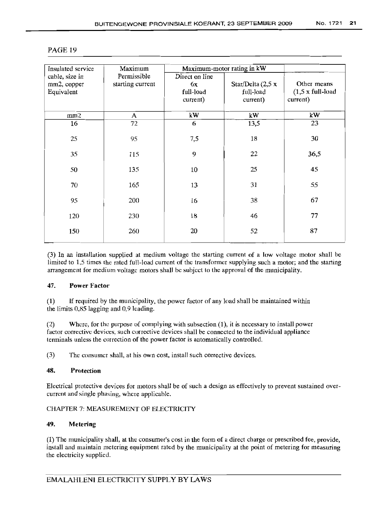| Insulated service | Maximum          | Maximum-motor rating in kW |                          |                                 |
|-------------------|------------------|----------------------------|--------------------------|---------------------------------|
| cable, size in    | Permissible      | Direct on line             |                          |                                 |
| mm2, copper       | starting current | 6x                         | Star/Delta $(2,5 \times$ | Other means                     |
| Equivalent        |                  | full-load                  | full-load                | $(1,5 \times \text{full-load})$ |
|                   |                  |                            | current)                 | current)                        |
|                   |                  | current)                   |                          |                                 |
| mm2               | A                | kW                         | kW                       | kW                              |
| 16                | 72               | 6                          | 13,5                     | 23                              |
|                   |                  |                            |                          |                                 |
| 25                | 95               | 7,5                        | 18                       | 30                              |
| 35                | 115              | 9                          | 22                       | 36,5                            |
|                   |                  |                            |                          |                                 |
| 50                | 135              | 10                         | 25                       | 45                              |
|                   |                  |                            |                          |                                 |
| 70                | 165              | 13                         | 31                       | 55                              |
| 95                | 200              | 16                         | 38                       | 67                              |
|                   |                  |                            |                          |                                 |
| 120               | 230              | 18                         | 46                       | 77                              |
|                   |                  |                            |                          |                                 |
| 150               | 260              | 20                         | 52                       | 87                              |
|                   |                  |                            |                          |                                 |

(3) In an installation supplied at medium voltage the starting current of a low voltage motor shall be limited to 1,5 times the rated full-load current of the transformer supplying such a motor; and the starting arrangement for medium voltage motors shall be subject to the approval of the municipality.

# 47. Power Factor

(1) If required by the municipality, the power factor of any load shall be maintained within the limits 0,85 lagging and 0,9 leading.

(2) Where, for the purpose of complying with subsection (1), it is necessary to install power factor corrective devices, such corrective devices shall be connected to the individual appliance terminals unless the correction of the power factor is automatically controlled.

(3) The consumer shall, at his own cost, install such corrective devices.

### 48. Protection

Electrical protective devices for motors shall be of such a design as effectively to prevent sustained overcurrent and single phasing, where applicable.

#### CHAPTER 7: MEASUREMENT OF ELECTRICITY

#### 49. Metering

(1) The municipality shall, at the consumer's cost in the form of a direct charge or prescribed fee, provide, install and maintain metering equipment rated by the municipality at the point of metering for measuring the electricity supplied.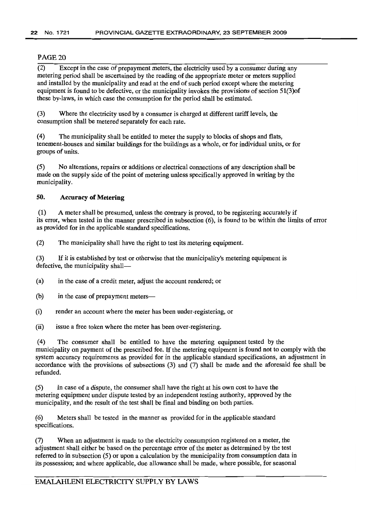$\overline{(2)}$  Except in the case of prepayment meters, the electricity used by a consumer during any metering period shall be ascertained by the reading of the appropriate meter or meters supplied and installed by the municipality and read at the end of such period except where the metering equipment is found to be defective, or the municipality invokes the provisions of section 51(3)of these by-laws, in which case the consumption for the period shall be estimated.

(3) Where the electricity used by a consumer is charged at different tariff levels, the consumption shall be metered separately for each rate.

(4) The municipality shall be entitled to meter the supply to blocks of shops and flats, tenement-houses and similar buildings for the buildings as a whole, or for individual units, or for groups of units.

(5) No alterations, repairs or additions or electrical connections of any description shall be made on the supply side of the point of metering unless specifically approved in writing by the municipality.

# 50. Accuracy of Metering

(1) A meter shall be presumed, unless the contrary is proved, to be registering accurately if its error, when tested in the manner prescribed in subsection (6), is found to be within the limits of error as provided for in the applicable standard specifications.

(2) The municipality shall have the right to test its metering equipment.

(3) If it is established by test or otherwise that the municipality's metering equipment is defective, the municipality shall-

(a) in the case of a credit meter, adjust the account rendered; or

(b) in the case of prepayment meters-

(i) render an account where the meter has been under-registering, or

(ii) issue a free token where the meter has been over-registering.

(4) The consumer shall be entitled to have the metering equipment tested by the municipality on payment of the prescribed fee. If the metering equipment is found not to comply with the system accuracy requirements as provided for in the applicable standard specifications, an adjustment in accordance with the provisions of subsections (3) and (7) shall be made and the aforesaid fee shall be refunded.

(5) In case of a dispute, the consumer shall have the right at his own cost to have the metering equipment under dispute tested by an independent testing authority, approved by the municipality, and the result of the test shall be final and binding on both parties.

(6) Meters shall be tested in the manner as provided for in the applicable standard specifications.

(7) When an adjustment is made to the electricity consumption registered on a meter, the adjustment shall either be based on the percentage error of the meter as determined by the test referred to in subsection (5) or upon a calculation by the municipality from consumption data in its possession; and where applicable, due allowance shall be made, where possible, for seasonal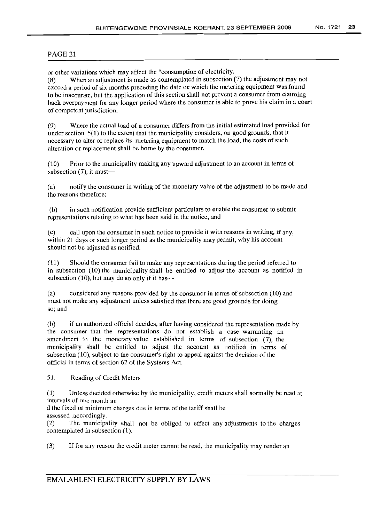or other variations which may affect the "consumption of electricity.

(8) When an adjustment is made as contemplated in subsection (7) the adjustment may not exceed a period of six months preceding the date on which the metering equipment was found to be inaccurate, but the application of this section shall not prevent a consumer from claiming back overpayment for any longer period where the consumer is able to prove his claim in a court of competent jurisdiction.

(9) Where the actual load of a consumer differs from the initial estimated load provided for under section 5(1) to the extent that the municipality considers, on good grounds, that it necessary to alter or replace its metering equipment to match the load, the costs of such alteration or replacement shall be borne by the consumer.

(10) Prior to the municipality making any upward adjustment to an account in terms of subsection  $(7)$ , it must—

(a) notify the consumer in writing of the monetary value of the adjustment to be made and the reasons therefore;

(b) in such notification provide sufficient particulars to enable the consumer to submit representations relating to what has been said in the notice, and

(c) call upon the consumer in such notice to provide it with reasons in writing, if any, within 21 days or such longer period as the municipality may permit, why his account should not be adjusted as notified.

Should the consumer fail to make any representations during the period referred to in subsection (10) the municipality shall be entitled to adjust the account as notified in subsection (10), but may do so only if it has-

(a) considered any reasons provided by the consumer in terms of subsection (10) and must not make any adjustment unless satisfied that there are good grounds for doing so; and

(b) if an authorized official decides, after having considered the representation made by the consumer that the representations do not establish a case warranting an amendment to the monetary value established in terms of subsection (7), the municipality shall be entitled to adjust the account as notified in terms of subsection (10), subject to the consumer's right to appeal against the decision of the official in terms of section 62 of the Systems Act.

51. Reading of Credit Meters

(1) Unless decided otherwise by the municipality, credit meters shall normally be read at intervals of one month an

d the fixed or minimum charges due in terms of the tariff shall be assessed .accordingly.

(2) The municipality shall not be obliged to effect any adjustments to the charges contemplated in subsection (1).

(3) If for any reason the credit meter cannot be read, the municipality may render an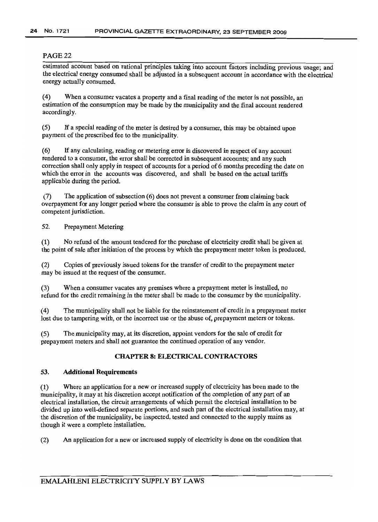estimated account based on rational principles taking into account factors including previous usage; and the electrical energy consumed shall be adjusted in a subsequent account in accordance with the electrical energy actually consumed.

(4) When a consumer vacates a property and a final reading of the meter is not possible, an estimation of the consumption may be made by the municipality and the final account rendered accordingly.

(5) If a special reading of the meter is desired by a consumer, this may be obtained upon payment of the prescribed fee to the municipality.

(6) If any calculating, reading or metering error is discovered in respect of any account rendered to a consumer, the error shall be corrected in subsequent accounts; and any such correction shall only apply in respect of accounts for a period of 6 months preceding the date on which the error in the accounts was discovered, and shall be based on the actual tariffs applicable during the period.

(7) The application of subsection (6) does not prevent a consumer from claiming back overpayment for any longer period where the consumer is able to prove the claim in any court of competent jurisdiction.

52. Prepayment Metering

(1) No refund of the amount tendered for the purchase of electricity credit shall be given at the point of sale after initiation of the process by which the prepayment meter token is produced.

(2) Copies of previously issued tokens for the transfer of credit to the prepayment meter may be issued at the request of the consumer.

(3) When a consumer vacates any premises where a prepayment meter is installed, no refund for the credit remaining in the meter shall be made to the consumer by the municipality.

(4) The municipality shall not be liable for the reinstatement of credit in a prepayment meter lost due to tampering with, or the incorrect use or the abuse of, prepayment meters or tokens.

(5) The municipality may, at its discretion, appoint vendors for the sale of credit for prepayment meters and shall not guarantee the continued operation of any vendor.

# CHAPTER 8: ELECTRICAL CONTRACTORS

# 53. Additional Requirements

(1) Where an application for a new or increased supply of electricity has been made to the municipality, it may at his discretion accept notification of the completion of any part of an electrical installation, the circuit arrangements of which permit the electrical installation to be divided up into well-defined separate portions, and such part of the electrical installation may, at the discretion of the municipality, be inspected, tested and connected to the supply mains as though it were a complete installation.

(2) An application for a new or increased supply of electricity is done on the condition that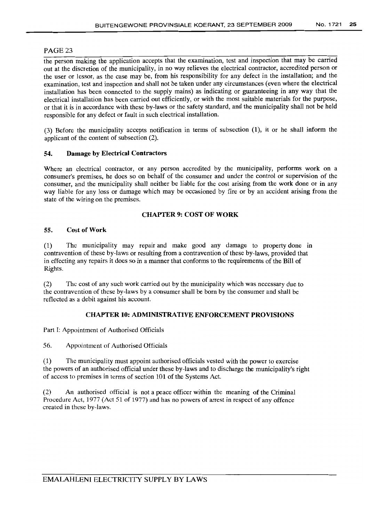the person making the application accepts that the examination, test and inspection that may be carried out at the discretion of the municipality, in no way relieves the electrical contractor, accredited person or the user or lessor, as the case may be, from his responsibility for any defect in the installation; and the examination, test and inspection and shall not be taken under any circumstances (even where the electrical installation has been connected to the supply mains) as indicating or guaranteeing in any way that the electrical installation has been carried out efficiently, or with the most suitable materials for the purpose, or that it is in accordance with these by-laws or the safety standard, and the municipality shall not be held responsible for any defect or fault in such electrical installation.

(3) Before the municipality accepts notification in terms of subsection (1), it or he shall inform the applicant of the content of subsection (2).

#### 54. Damage by Electrical Contractors

Where an electrical contractor, or any person accredited by the municipality, performs work on a consumer's premises, he does so on behalf of the consumer and under the control or supervision of the consumer, and the municipality shall neither be liable for the cost arising from the work done or in any way liable for any loss or damage which may be occasioned by fire or by an accident arising from the state of the wiring on the premises.

### CHAPTER 9: COST OF WORK

### 55. Cost of Work

(1) The municipality may repair and make good any damage to property done in contravention of these by-laws or resulting from a contravention of these by-laws, provided that in effecting any repairs it does so in a manner that conforms to the requirements of the Bill of Rights.

(2) The cost of any such work carried out by the municipality which was necessary due to the contravention of these by-laws by a consumer shall be born by the consumer and shall be reflected as a debit against his account.

# CHAPTER 10: ADMINISTRATIVE ENFORCEMENT PROVISIONS

Part I: Appointment of Authorised Officials

56. Appointment of Authorised Officials

(1) The municipality must appoint authorised officials vested with the power to exercise the powers of an authorised official under these by-laws and to discharge the municipality's right of access to premises in terms of section 101 of the Systems Act.

(2) An authorised official is not a peace officer within the meaning of the Criminal Procedure Act, 1977 (Act 51 of 1977) and has no powers of arrest in respect of any offence created in these by-laws.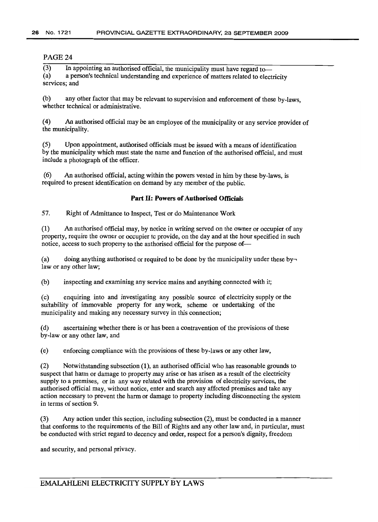(3) In appointing an authorised official, the municipality must have regard to-<br>(a) a person's technical understanding and experience of matters related to eleca person's technical understanding and experience of matters related to electricity services; and

(b) any other factor that may be relevant to supervision and enforcement of these by-laws, whether technical or administrative.

(4) An authorised official may be an employee of the municipality or any service provider of the municipality.

(5) Upon appointment, authorised officials must be issued with a means of identification by the municipality which must state the name and function of the authorised official, and must include a photograph of the officer.

(6) An authorised official, acting within the powers vested in him by these by-laws, is required to present identification on demand by any member of the public.

#### **Part II: Powers of Authorised Officials**

57. Right of Admittance to Inspect, Test or do Maintenance Work

(1) An authorised official may, by notice in writing served on the owner or occupier of any property, require the owner or occupier tc provide, on the day and at the hour specified in such notice, access to such property to the authorised official for the purpose of-

(a) doing anything authorised or required to be done by the municipality under these bylaw or any other law;

(b) inspecting and examining any service mains and anything connected with it;

(c) enquiring into and investigating any possible source of electricity supply or the suitability of immovable property for any work, scheme or undertaking of the municipality and making any necessary survey in this connection;

(d) ascertaining whether there is or has been a contravention of the provisions of these by-law or any other law, and

(e) enforcing compliance with the provisions of these by-laws or any other law,

(2) Notwithstanding subsection (1), an authorised official who has reasonable grounds to suspect that harm or damage to property may arise or has arisen as a result of the electricity supply to a premises, or in any way related with the provision of electricity services, the authorised official may, without notice, enter and search any affected premises and take any action necessary to prevent the harm or damage to property including disconnecting the system in terms of section 9.

(3) Any action under this section, including subsection (2), must be conducted in a manner that conforms to the requirements of the Bill of Rights and any other law and, in particular, must be conducted with strict regard to decency and order, respect for a person's dignity, freedom

and security, and personal privacy.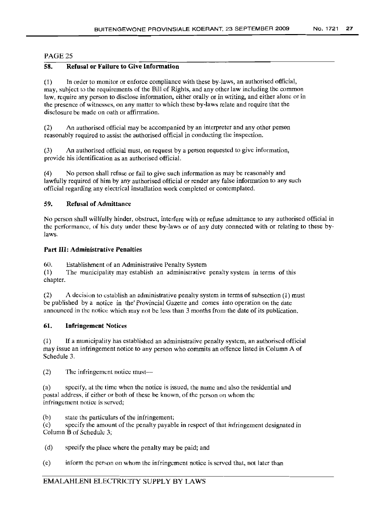# PAGE2S

# 58. Refusal or Failure to Give Information

(1) In order to monitor or enforce compliance with these by-laws, an authorised official, may, subject to the requirements of the Bill of Rights, and any other law including the common law, require any person to disclose information, either orally or in writing, and either alone or in the presence of witnesses, on any matter to which these by-laws relate and require that the disclosure be made on oath or affirmation.

(2) An authorised official may be accompanied by an interpreter and any other person reasonably required to assist the authorised official in conducting the inspection.

(3) An authorised official must, on request by a person requested to give information, provide his identification as an authorised official.

(4) No person shall refuse or fail to give such information as may be reasonably and lawfully required of him by any authorised official or render any false information to any such official regarding any electrical installation work completed or contemplated.

### 59. Refusal of Admittance

No person shall willfully hinder, obstruct, interfere with or refuse admittance to any authorised official in the performance, of his duty under these by-laws or of any duty connected with or relating to these bylaws.

# Part III: Administrative Penalties

60. Establishment of an Administrative Penalty System

(1) The municipality may establish an administrative penalty system in terms of this chapter.

(2) A decision to establish an administrative penalty system in terms of subsection (1) must be published by a notice in the' Provincial Gazette and comes into operation on the date announced in the notice which may not be less than 3 months from the date of its publication.

### 61. Infringement Notices

(1) If a municipality has established an administrative penalty system, an authorised official may issue an infringement notice to any person who commits an offence listed in Column A of Schedule 3.

 $(2)$  The infringement notice must--

(a) specify, at the time when the notice is issued, the name and also the residential and postal address, if either or both of these be known, of the person on whom the infringement notice is served;

(b) state the particulars of the infringement;

(c) specify the amount of the penalty payable in respect of that infringement designated in Column B of Schedule 3;

- (d) specify the place where the penalty may be paid; and
- (e) inform the person on whom the infringement notice is served that, not later than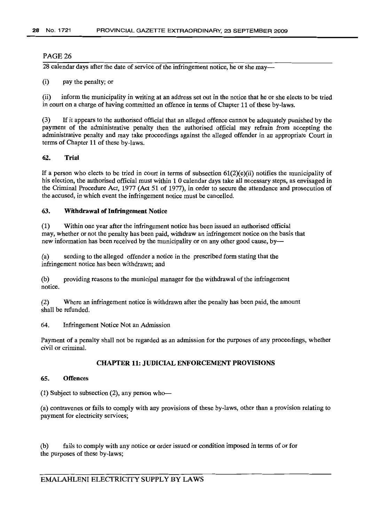28 calendar days after the date of service of the infringement notice, he or she may-

(i) pay the penalty; or

(ii) inform the municipality in writing at an address set out in the notice that he or she elects to be tried in court on a charge of having committed an offence in terms of Chapter 11 of these by-laws.

(3) Ifit appears to the authorised official that an alleged offence cannot be adequately punished by the payment of the administrative penalty then the authorised official may refrain from accepting the administrative penalty and may take proceedings against the alleged offender in an appropriate Court in terms of Chapter 11 of these by-laws.

### 62. Trial

If a person who elects to be tried in court in terms of subsection  $61(2)(e)$ (ii) notifies the municipality of his election, the authorised official must within 1 0 calendar days take all necessary steps, as envisaged in the Criminal Procedure Act, 1977 (Act 51 of 1977), in order to secure the attendance and prosecution of the accused, in which event the infringement notice must be cancelled.

#### 63. Withdrawal of Infringement Notice

(1) Within one year after the infringement notice has been issued an authorised official may, whether or not the penalty has been paid, withdraw an infringement notice on the basis that new information has been received by the municipality or on any other good cause, by-

(a) sending to the alleged offender a notice in the prescribed form stating that the infringement notice has been withdrawn; and

(b) providing reasons to the municipal manager for the withdrawal of the infringement notice.

(2) Where an infringement notice is withdrawn after the penalty has been paid, the amount shall be refunded.

64. Infringement Notice Not an Admission

Payment of a penalty shall not be regarded as an admission for the purposes of any proceedings, whether civil or criminal.

#### CHAPTER 11: JUDICIAL ENFORCEMENT PROVISIONS

#### 65. Offences

 $(1)$  Subject to subsection  $(2)$ , any person who-

(a) contravenes or fails to comply with any provisions of these by-laws, other than a provision relating to payment for electricity services;

(b) fails to comply with any notice or order issued or condition imposed in terms of or for the purposes of these by-laws;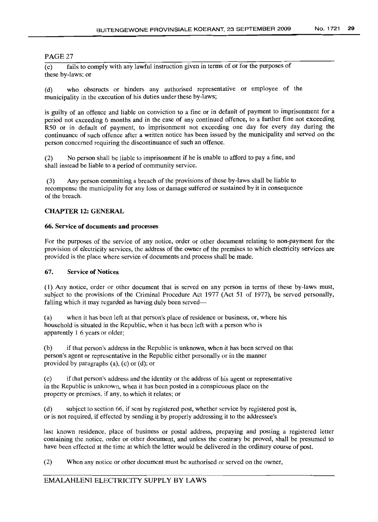(c) fails to comply with any lawful instruction given in terms of or for the purposes of these by-laws; or

(d) who obstructs or hinders any authorised representative or employee of the municipality in the execution of his duties under these by-laws;

is guilty of an offence and liable on conviction to a fine or in default of payment to imprisonment for a period not exceeding 6 months and in the case of any continued offence, to a further fine not exceeding R50 or in default of payment, to imprisonment not exceeding one day for every day during the continuance of such offence after a written notice has been issued by the municipality and served on the person concerned requiring the discontinuance of such an offence.

(2) No person shall be liable to imprisonment if he is unable to afford to pay a fine, and shall instead be liable to a period of community service.

(3) Any person committing a breach of the provisions of these by-laws shall be liable to recompense the municipality for any loss or damage suffered or sustained by it in consequence of the breach.

# CHAPTER 12: GENERAL

#### 66. Service of documents and processes

For the purposes of the service of any notice, order or other document relating to non-payment for the provision of electricity services, the address of the owner of the premises to which electricity services are provided is the place where service of documents and process shall be made.

#### 67. Service of Notices

(1) Any notice, order or other document that is served on any person in terms of these by-laws must, subject to the provisions of the Criminal Procedure Act 1977 (Act 51 of 1977), be served personally, falling which it may regarded as having duly been served-

(a) when it has been left at that person's place of residence or business, or, where his household is situated in the Republic, when it has been left with a person who is apparently 1 6 years or older;

(b) if that person's address in the Republic is unknown, when it has been served on that person's agent or representative in the Republic either personally or in the manner provided by paragraphs (a), (c) or (d); or

(c) if that person's address and the identity or the address of his agent or representative in the Republic is unknown, when it has been posted in a conspicuous place on the property or premises, if any, to which it relates; or

(d) subject to section 66, if sent by registered post, whether service by registered post is, or is not required, if effected by sending it by properly addressing it to the addressee's

last known residence, place of business or postal address, prepaying and posting a registered letter containing the notice, order or other document, and unless the contrary be proved, shall be presumed to have been effected at the time at which the letter would be delivered in the ordinary course of post.

(2) When any notice or other document must be authorised or served on the owner,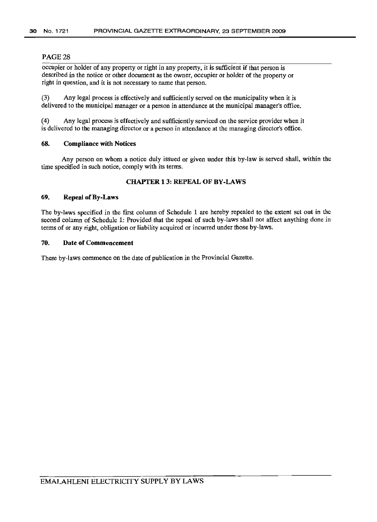occupier or holder of any property or right in any property, it is sufficient if that person is described in the notice or other document as the owner, occupier or holder of the property or right in question, and it is not necessary to name that person.

(3) Any legal process is effectively and sufficiently served on the municipality when it is delivered to the municipal manager or a person in attendance at the municipal manager's office.

(4) Any legal process is effectively and sufficiently serviced on the service provider when it is delivered to the managing director or a person in attendance at the managing director's office.

#### 68. Compliance with Notices

Any person on whom a notice duly issued or given under this by-law is served shall, within the time specified in such notice, comply with its terms.

# CHAPTER 13: REPEAL OF BY-LAWS

#### 69. Repeal of By-Laws

The by-laws specified in the first column of Schedule 1 are hereby repealed to the extent set out in the second column of Schedule 1: Provided that the repeal of such by-laws shall not affect anything done in terms of or any right, obligation or liability acquired or incurred under those by-laws.

#### 70. Date of Commencement

These by-laws commence on the date of publication in the Provincial Gazette.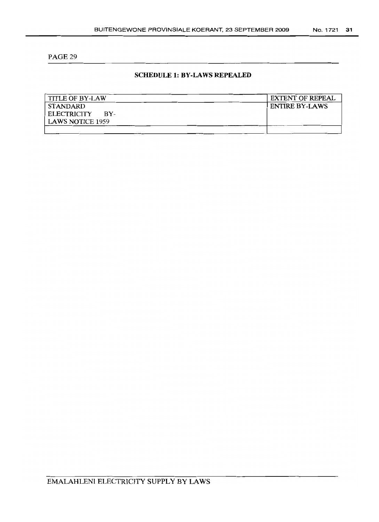# **SCHEDULE 1: BY-LAWS REPEALED**

| <b>TITLE OF BY-LAW</b>    | <b>EXTENT OF REPEAL</b> |
|---------------------------|-------------------------|
| STANDARD                  | <b>ENTIRE BY-LAWS</b>   |
| <b>ELECTRICITY</b><br>RY- |                         |
| <b>LAWS NOTICE 1959</b>   |                         |
|                           |                         |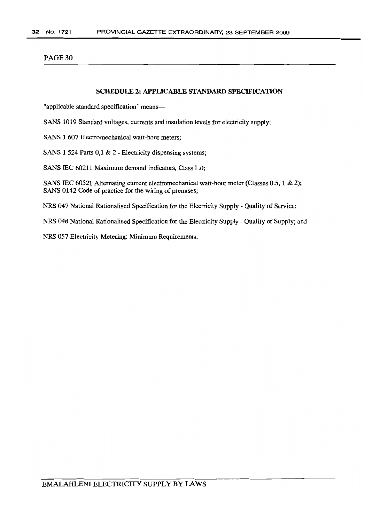# SCHEDULE 2: APPLICABLE STANDARD SPECIFICATION

"applicable standard specification" means-

SANS 1019 Standard voltages, currents and insulation levels for electricity supply;

SANS 1 607 Electromechanical watt-hour meters;

SANS 1 524 Parts 0,1 & 2 - Electricity dispensing systems;

SANS IEC 60211 Maximum demand indicators, Class I .0;

SANS IEC 60521 Alternating current electromechanical watt-hour meter (Classes 0.5, 1 & 2); SANS 0142 Code of practice for the wiring of premises;

NRS 047 National Rationalised Specification for the Electricity Supply - Quality of Service;

NRS 048 National Rationalised Specification for the Electricity Supply - Quality of Supply; and

NRS 057 Electricity Metering: Minimum Requirements.